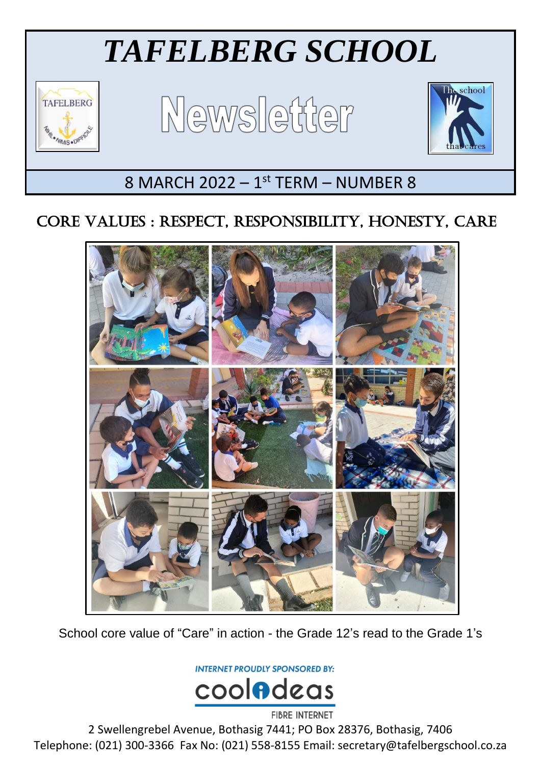# *TAFELBERG SCHOOL*



Ξ

Newsletter



## $8$  MARCH 2022 -  $1<sup>st</sup>$  TERM - NUMBER  $8$

## CORE VALUES : RESPECT, RESPONSIBILITY, HONESTY, CARE



School core value of "Care" in action - the Grade 12's read to the Grade 1's

**INTERNET PROUDLY SPONSORED BY:** 



2 Swellengrebel Avenue, Bothasig 7441; PO Box 28376, Bothasig, 7406 Telephone: (021) 300-3366 Fax No: (021) 558-8155 Email: secretary@tafelbergschool.co.za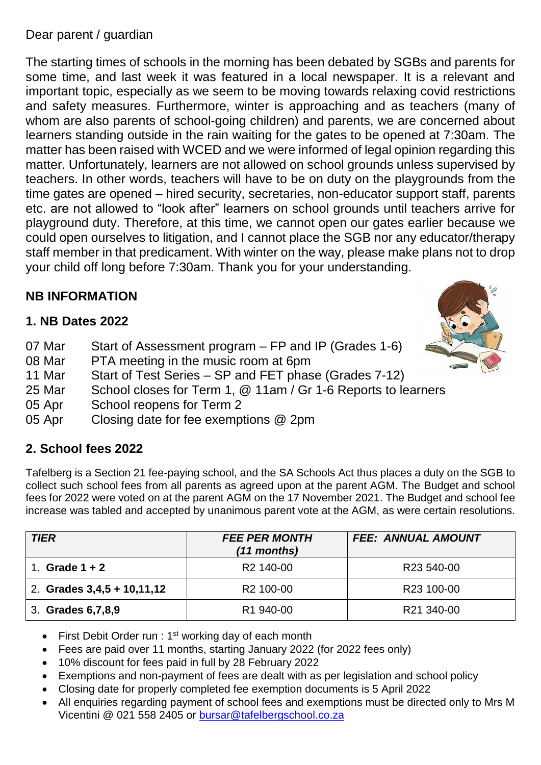#### Dear parent / guardian

The starting times of schools in the morning has been debated by SGBs and parents for some time, and last week it was featured in a local newspaper. It is a relevant and important topic, especially as we seem to be moving towards relaxing covid restrictions and safety measures. Furthermore, winter is approaching and as teachers (many of whom are also parents of school-going children) and parents, we are concerned about learners standing outside in the rain waiting for the gates to be opened at 7:30am. The matter has been raised with WCED and we were informed of legal opinion regarding this matter. Unfortunately, learners are not allowed on school grounds unless supervised by teachers. In other words, teachers will have to be on duty on the playgrounds from the time gates are opened – hired security, secretaries, non-educator support staff, parents etc. are not allowed to "look after" learners on school grounds until teachers arrive for playground duty. Therefore, at this time, we cannot open our gates earlier because we could open ourselves to litigation, and I cannot place the SGB nor any educator/therapy staff member in that predicament. With winter on the way, please make plans not to drop your child off long before 7:30am. Thank you for your understanding.

#### **NB INFORMATION**

#### **1. NB Dates 2022**

- 07 Mar Start of Assessment program FP and IP (Grades 1-6)
- 08 Mar PTA meeting in the music room at 6pm
- 11 Mar Start of Test Series SP and FET phase (Grades 7-12)
- 25 Mar School closes for Term 1, @ 11am / Gr 1-6 Reports to learners
- 05 Apr School reopens for Term 2
- 05 Apr Closing date for fee exemptions @ 2pm

#### **2. School fees 2022**

Tafelberg is a Section 21 fee-paying school, and the SA Schools Act thus places a duty on the SGB to collect such school fees from all parents as agreed upon at the parent AGM. The Budget and school fees for 2022 were voted on at the parent AGM on the 17 November 2021. The Budget and school fee increase was tabled and accepted by unanimous parent vote at the AGM, as were certain resolutions.

| <b>TIER</b>                  | <b>FEE PER MONTH</b><br>(11 months) | <b>FEE: ANNUAL AMOUNT</b> |
|------------------------------|-------------------------------------|---------------------------|
| Grade $1 + 2$                | R <sub>2</sub> 140-00               | R <sub>23</sub> 540-00    |
| 2. Grades $3,4,5 + 10,11,12$ | R <sub>2</sub> 100-00               | R <sub>23</sub> 100-00    |
| 3. Grades 6, 7, 8, 9         | R <sub>1</sub> 940-00               | R21 340-00                |

- First Debit Order run :  $1<sup>st</sup>$  working day of each month
- Fees are paid over 11 months, starting January 2022 (for 2022 fees only)
- 10% discount for fees paid in full by 28 February 2022
- Exemptions and non-payment of fees are dealt with as per legislation and school policy
- Closing date for properly completed fee exemption documents is 5 April 2022
- All enquiries regarding payment of school fees and exemptions must be directed only to Mrs M Vicentini @ 021 558 2405 or [bursar@tafelbergschool.co.za](mailto:bursar@tafelbergschool.co.za)

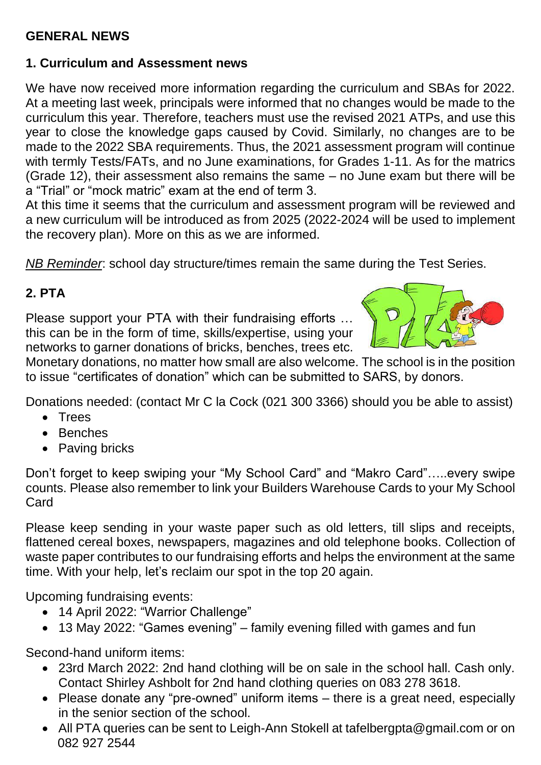#### **GENERAL NEWS**

#### **1. Curriculum and Assessment news**

We have now received more information regarding the curriculum and SBAs for 2022. At a meeting last week, principals were informed that no changes would be made to the curriculum this year. Therefore, teachers must use the revised 2021 ATPs, and use this year to close the knowledge gaps caused by Covid. Similarly, no changes are to be made to the 2022 SBA requirements. Thus, the 2021 assessment program will continue with termly Tests/FATs, and no June examinations, for Grades 1-11. As for the matrics (Grade 12), their assessment also remains the same – no June exam but there will be a "Trial" or "mock matric" exam at the end of term 3.

At this time it seems that the curriculum and assessment program will be reviewed and a new curriculum will be introduced as from 2025 (2022-2024 will be used to implement the recovery plan). More on this as we are informed.

*NB Reminder*: school day structure/times remain the same during the Test Series.

#### **2. PTA**

Please support your PTA with their fundraising efforts … this can be in the form of time, skills/expertise, using your networks to garner donations of bricks, benches, trees etc.



Monetary donations, no matter how small are also welcome. The school is in the position to issue "certificates of donation" which can be submitted to SARS, by donors.

Donations needed: (contact Mr C la Cock (021 300 3366) should you be able to assist)

- Trees
- Benches
- Paving bricks

Don't forget to keep swiping your "My School Card" and "Makro Card"…..every swipe counts. Please also remember to link your Builders Warehouse Cards to your My School Card

Please keep sending in your waste paper such as old letters, till slips and receipts, flattened cereal boxes, newspapers, magazines and old telephone books. Collection of waste paper contributes to our fundraising efforts and helps the environment at the same time. With your help, let's reclaim our spot in the top 20 again.

Upcoming fundraising events:

- 14 April 2022: "Warrior Challenge"
- 13 May 2022: "Games evening" family evening filled with games and fun

Second-hand uniform items:

- 23rd March 2022: 2nd hand clothing will be on sale in the school hall. Cash only. Contact Shirley Ashbolt for 2nd hand clothing queries on 083 278 3618.
- Please donate any "pre-owned" uniform items there is a great need, especially in the senior section of the school.
- All PTA queries can be sent to Leigh-Ann Stokell at tafelbergpta@gmail.com or on 082 927 2544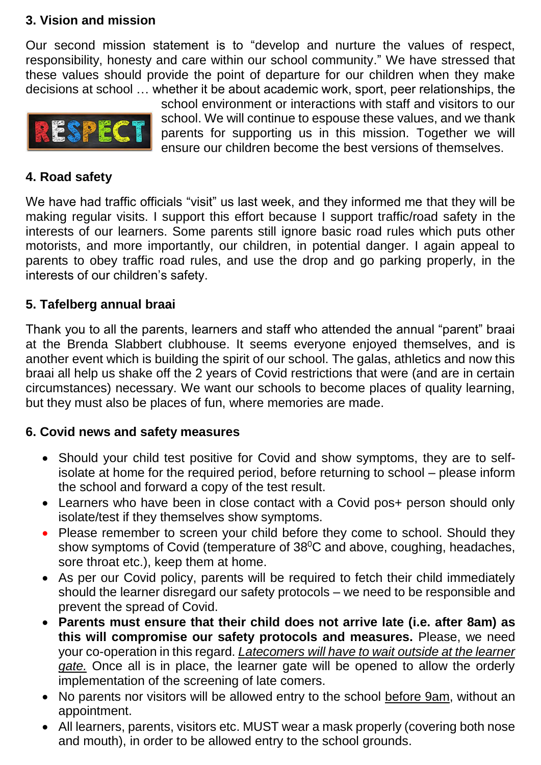#### **3. Vision and mission**

Our second mission statement is to "develop and nurture the values of respect, responsibility, honesty and care within our school community." We have stressed that these values should provide the point of departure for our children when they make decisions at school … whether it be about academic work, sport, peer relationships, the



school environment or interactions with staff and visitors to our school. We will continue to espouse these values, and we thank parents for supporting us in this mission. Together we will ensure our children become the best versions of themselves.

#### **4. Road safety**

We have had traffic officials "visit" us last week, and they informed me that they will be making regular visits. I support this effort because I support traffic/road safety in the interests of our learners. Some parents still ignore basic road rules which puts other motorists, and more importantly, our children, in potential danger. I again appeal to parents to obey traffic road rules, and use the drop and go parking properly, in the interests of our children's safety.

#### **5. Tafelberg annual braai**

Thank you to all the parents, learners and staff who attended the annual "parent" braai at the Brenda Slabbert clubhouse. It seems everyone enjoyed themselves, and is another event which is building the spirit of our school. The galas, athletics and now this braai all help us shake off the 2 years of Covid restrictions that were (and are in certain circumstances) necessary. We want our schools to become places of quality learning, but they must also be places of fun, where memories are made.

#### **6. Covid news and safety measures**

- Should your child test positive for Covid and show symptoms, they are to selfisolate at home for the required period, before returning to school – please inform the school and forward a copy of the test result.
- Learners who have been in close contact with a Covid pos+ person should only isolate/test if they themselves show symptoms.
- Please remember to screen your child before they come to school. Should they show symptoms of Covid (temperature of  $38^{\circ}$ C and above, coughing, headaches, sore throat etc.), keep them at home.
- As per our Covid policy, parents will be required to fetch their child immediately should the learner disregard our safety protocols – we need to be responsible and prevent the spread of Covid.
- **Parents must ensure that their child does not arrive late (i.e. after 8am) as this will compromise our safety protocols and measures.** Please, we need your co-operation in this regard. *Latecomers will have to wait outside at the learner gate.* Once all is in place, the learner gate will be opened to allow the orderly implementation of the screening of late comers.
- No parents nor visitors will be allowed entry to the school before 9am, without an appointment.
- All learners, parents, visitors etc. MUST wear a mask properly (covering both nose and mouth), in order to be allowed entry to the school grounds.